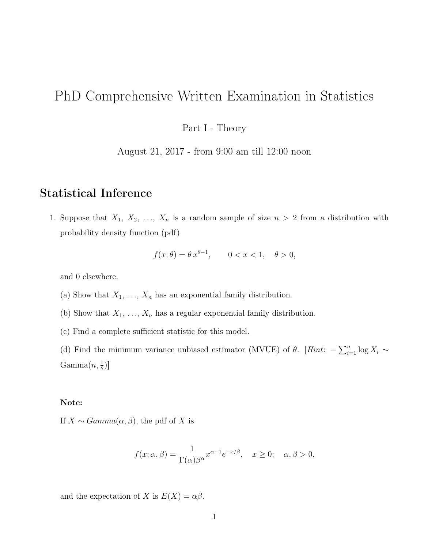# PhD Comprehensive Written Examination in Statistics

Part I - Theory

August 21, 2017 - from 9:00 am till 12:00 noon

## Statistical Inference

1. Suppose that  $X_1, X_2, \ldots, X_n$  is a random sample of size  $n > 2$  from a distribution with probability density function (pdf)

$$
f(x; \theta) = \theta x^{\theta - 1}, \qquad 0 < x < 1, \quad \theta > 0,
$$

and 0 elsewhere.

- (a) Show that  $X_1, \ldots, X_n$  has an exponential family distribution.
- (b) Show that  $X_1, \ldots, X_n$  has a regular exponential family distribution.
- (c) Find a complete sufficient statistic for this model.

(d) Find the minimum variance unbiased estimator (MVUE) of  $\theta$ . [Hint:  $-\sum_{i=1}^{n} \log X_i \sim$  $\text{Gamma}(n, \frac{1}{\theta})]$ 

#### Note:

If  $X \sim Gamma(\alpha, \beta)$ , the pdf of X is

$$
f(x; \alpha, \beta) = \frac{1}{\Gamma(\alpha)\beta^{\alpha}} x^{\alpha - 1} e^{-x/\beta}, \quad x \ge 0; \quad \alpha, \beta > 0,
$$

and the expectation of X is  $E(X) = \alpha \beta$ .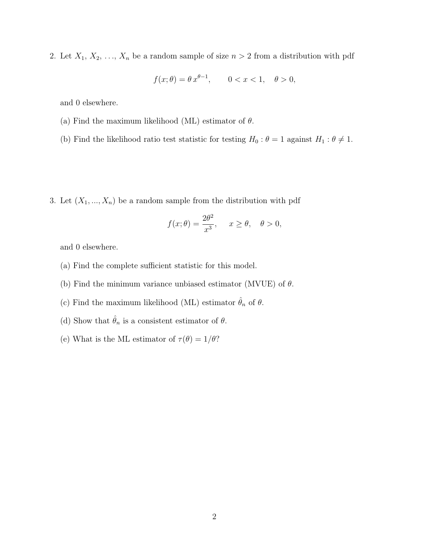2. Let  $X_1, X_2, \ldots, X_n$  be a random sample of size  $n > 2$  from a distribution with pdf

$$
f(x; \theta) = \theta x^{\theta - 1}, \quad 0 < x < 1, \quad \theta > 0,
$$

and 0 elsewhere.

- (a) Find the maximum likelihood (ML) estimator of  $\theta$ .
- (b) Find the likelihood ratio test statistic for testing  $H_0$  :  $\theta = 1$  against  $H_1 : \theta \neq 1$ .
- 3. Let  $(X_1, ..., X_n)$  be a random sample from the distribution with pdf

$$
f(x; \theta) = \frac{2\theta^2}{x^3}, \quad x \ge \theta, \quad \theta > 0,
$$

and 0 elsewhere.

- (a) Find the complete sufficient statistic for this model.
- (b) Find the minimum variance unbiased estimator (MVUE) of  $\theta$ .
- (c) Find the maximum likelihood (ML) estimator  $\hat{\theta}_n$  of  $\theta.$
- (d) Show that  $\hat{\theta}_n$  is a consistent estimator of  $\theta$ .
- (e) What is the ML estimator of  $\tau(\theta) = 1/\theta$ ?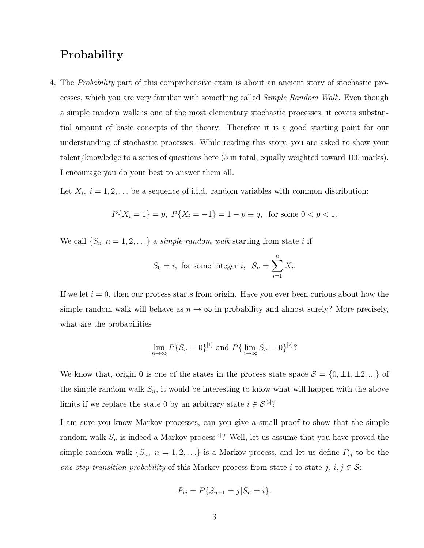# Probability

4. The Probability part of this comprehensive exam is about an ancient story of stochastic processes, which you are very familiar with something called Simple Random Walk. Even though a simple random walk is one of the most elementary stochastic processes, it covers substantial amount of basic concepts of the theory. Therefore it is a good starting point for our understanding of stochastic processes. While reading this story, you are asked to show your talent/knowledge to a series of questions here (5 in total, equally weighted toward 100 marks). I encourage you do your best to answer them all.

Let  $X_i$ ,  $i = 1, 2, \ldots$  be a sequence of i.i.d. random variables with common distribution:

$$
P{Xi = 1} = p, P{Xi = -1} = 1 - p \equiv q, \text{ for some } 0 < p < 1.
$$

We call  $\{S_n, n = 1, 2, \ldots\}$  a simple random walk starting from state i if

$$
S_0 = i, \text{ for some integer } i, \ S_n = \sum_{i=1}^n X_i.
$$

If we let  $i = 0$ , then our process starts from origin. Have you ever been curious about how the simple random walk will behave as  $n \to \infty$  in probability and almost surely? More precisely, what are the probabilities

$$
\lim_{n \to \infty} P\{S_n = 0\}^{[1]}
$$
 and  $P\{\lim_{n \to \infty} S_n = 0\}^{[2]}$ ?

We know that, origin 0 is one of the states in the process state space  $S = \{0, \pm 1, \pm 2, ...\}$  of the simple random walk  $S_n$ , it would be interesting to know what will happen with the above limits if we replace the state 0 by an arbitrary state  $i \in \mathcal{S}^{[3]}$ ?

I am sure you know Markov processes, can you give a small proof to show that the simple random walk  $S_n$  is indeed a Markov process<sup>[4]</sup>? Well, let us assume that you have proved the simple random walk  $\{S_n, n = 1, 2, ...\}$  is a Markov process, and let us define  $P_{ij}$  to be the one-step transition probability of this Markov process from state i to state j,  $i, j \in S$ :

$$
P_{ij} = P\{S_{n+1} = j | S_n = i\}.
$$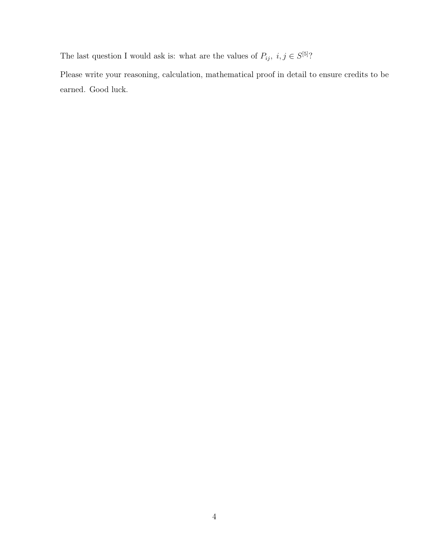The last question I would ask is: what are the values of  $P_{ij}$ ,  $i, j \in S^{[5]}$ ?

Please write your reasoning, calculation, mathematical proof in detail to ensure credits to be earned. Good luck.